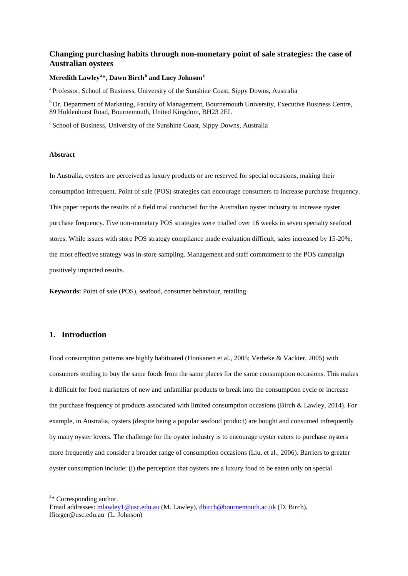# **Changing purchasing habits through non-monetary point of sale strategies: the case of Australian oysters**

## **Meredith Lawley[a](#page-0-0) \*, Dawn Birch[b](#page-0-1) and Lucy Johnson[c](#page-0-2)**

<sup>a</sup> Professor, School of Business, University of the Sunshine Coast, Sippy Downs, Australia

<sup>b</sup> Dr, Department of Marketing, Faculty of Management, Bournemouth University, Executive Business Centre, 89 Holdenhurst Road, Bournemouth, United Kingdom, BH23 2EL

c School of Business, University of the Sunshine Coast, Sippy Downs, Australia

#### **Abstract**

In Australia, oysters are perceived as luxury products or are reserved for special occasions, making their consumption infrequent. Point of sale (POS) strategies can encourage consumers to increase purchase frequency. This paper reports the results of a field trial conducted for the Australian oyster industry to increase oyster purchase frequency. Five non-monetary POS strategies were trialled over 16 weeks in seven specialty seafood stores. While issues with store POS strategy compliance made evaluation difficult, sales increased by 15-20%; the most effective strategy was in-store sampling. Management and staff commitment to the POS campaign positively impacted results.

**Keywords:** Point of sale (POS), seafood, consumer behaviour, retailing

# **1. Introduction**

Food consumption patterns are highly habituated (Honkanen et al., 2005; Verbeke & Vackier, 2005) with consumers tending to buy the same foods from the same places for the same consumption occasions. This makes it difficult for food marketers of new and unfamiliar products to break into the consumption cycle or increase the purchase frequency of products associated with limited consumption occasions (Birch & Lawley, 2014). For example, in Australia, oysters (despite being a popular seafood product) are bought and consumed infrequently by many oyster lovers. The challenge for the oyster industry is to encourage oyster eaters to purchase oysters more frequently and consider a broader range of consumption occasions (Liu, et al., 2006). Barriers to greater oyster consumption include: (i) the perception that oysters are a luxury food to be eaten only on special

<span id="page-0-0"></span>–<br>a <sup>a\*</sup> Corresponding author.

<span id="page-0-2"></span><span id="page-0-1"></span>Email addresses: [mlawley1@usc.edu.au](mailto:mlawley1@usc.edu.au) (M. Lawley), [dbirch@bournemouth.ac.uk](mailto:dbirch@bournemouth.ac.uk) (D. Birch), lfitzger@usc.edu.au (L. Johnson)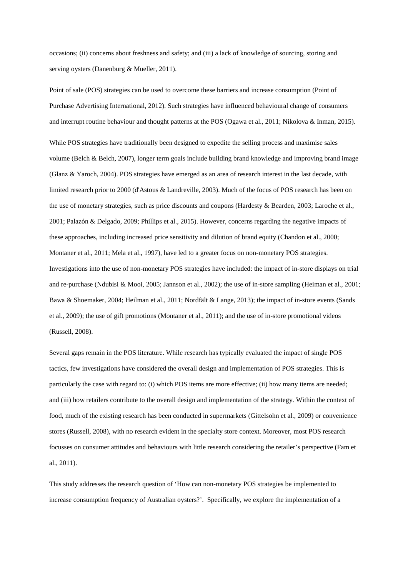occasions; (ii) concerns about freshness and safety; and (iii) a lack of knowledge of sourcing, storing and serving oysters (Danenburg & Mueller, 2011).

Point of sale (POS) strategies can be used to overcome these barriers and increase consumption (Point of Purchase Advertising International, 2012). Such strategies have influenced behavioural change of consumers and interrupt routine behaviour and thought patterns at the POS (Ogawa et al., 2011; Nikolova & Inman, 2015).

While POS strategies have traditionally been designed to expedite the selling process and maximise sales volume (Belch & Belch, 2007), longer term goals include building brand knowledge and improving brand image (Glanz & Yaroch, 2004). POS strategies have emerged as an area of research interest in the last decade, with limited research prior to 2000 (d'Astous & Landreville, 2003). Much of the focus of POS research has been on the use of monetary strategies, such as price discounts and coupons (Hardesty & Bearden, 2003; Laroche et al., 2001; Palazón & Delgado, 2009; Phillips et al., 2015). However, concerns regarding the negative impacts of these approaches, including increased price sensitivity and dilution of brand equity (Chandon et al., 2000; Montaner et al., 2011; Mela et al., 1997), have led to a greater focus on non-monetary POS strategies. Investigations into the use of non-monetary POS strategies have included: the impact of in-store displays on trial and re-purchase (Ndubisi & Mooi, 2005; Jannson et al., 2002); the use of in-store sampling (Heiman et al., 2001; Bawa & Shoemaker, 2004; Heilman et al., 2011; Nordfält & Lange, 2013); the impact of in-store events (Sands et al., 2009); the use of gift promotions (Montaner et al., 2011); and the use of in-store promotional videos (Russell, 2008).

Several gaps remain in the POS literature. While research has typically evaluated the impact of single POS tactics, few investigations have considered the overall design and implementation of POS strategies. This is particularly the case with regard to: (i) which POS items are more effective; (ii) how many items are needed; and (iii) how retailers contribute to the overall design and implementation of the strategy. Within the context of food, much of the existing research has been conducted in supermarkets (Gittelsohn et al., 2009) or convenience stores (Russell, 2008), with no research evident in the specialty store context. Moreover, most POS research focusses on consumer attitudes and behaviours with little research considering the retailer's perspective (Fam et al., 2011).

This study addresses the research question of 'How can non-monetary POS strategies be implemented to increase consumption frequency of Australian oysters?'. Specifically, we explore the implementation of a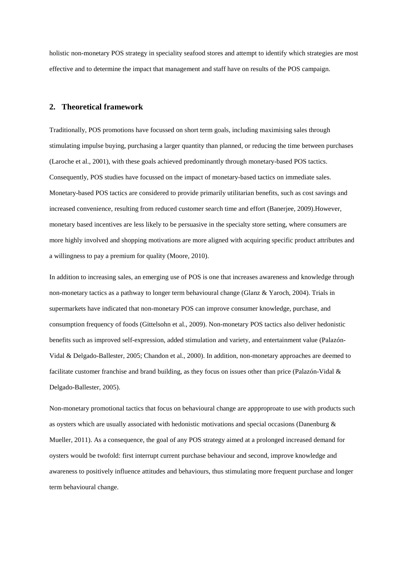holistic non-monetary POS strategy in speciality seafood stores and attempt to identify which strategies are most effective and to determine the impact that management and staff have on results of the POS campaign.

#### **2. Theoretical framework**

Traditionally, POS promotions have focussed on short term goals, including maximising sales through stimulating impulse buying, purchasing a larger quantity than planned, or reducing the time between purchases (Laroche et al., 2001), with these goals achieved predominantly through monetary-based POS tactics. Consequently, POS studies have focussed on the impact of monetary-based tactics on immediate sales. Monetary-based POS tactics are considered to provide primarily utilitarian benefits, such as cost savings and increased convenience, resulting from reduced customer search time and effort (Banerjee, 2009).However, monetary based incentives are less likely to be persuasive in the specialty store setting, where consumers are more highly involved and shopping motivations are more aligned with acquiring specific product attributes and a willingness to pay a premium for quality (Moore, 2010).

In addition to increasing sales, an emerging use of POS is one that increases awareness and knowledge through non-monetary tactics as a pathway to longer term behavioural change (Glanz & Yaroch, 2004). Trials in supermarkets have indicated that non-monetary POS can improve consumer knowledge, purchase, and consumption frequency of foods (Gittelsohn et al., 2009). Non-monetary POS tactics also deliver hedonistic benefits such as improved self-expression, added stimulation and variety, and entertainment value (Palazón-Vidal & Delgado-Ballester, 2005; Chandon et al., 2000). In addition, non-monetary approaches are deemed to facilitate customer franchise and brand building, as they focus on issues other than price (Palazón-Vidal & Delgado-Ballester, 2005).

Non-monetary promotional tactics that focus on behavioural change are appproproate to use with products such as oysters which are usually associated with hedonistic motivations and special occasions (Danenburg & Mueller, 2011). As a consequence, the goal of any POS strategy aimed at a prolonged increased demand for oysters would be twofold: first interrupt current purchase behaviour and second, improve knowledge and awareness to positively influence attitudes and behaviours, thus stimulating more frequent purchase and longer term behavioural change.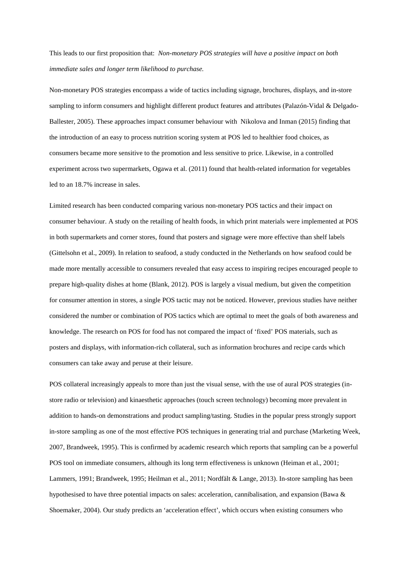This leads to our first proposition that: *Non-monetary POS strategies will have a positive impact on both immediate sales and longer term likelihood to purchase.*

Non-monetary POS strategies encompass a wide of tactics including signage, brochures, displays, and in-store sampling to inform consumers and highlight different product features and attributes (Palazón-Vidal & Delgado-Ballester, 2005). These approaches impact consumer behaviour with Nikolova and Inman (2015) finding that the introduction of an easy to process nutrition scoring system at POS led to healthier food choices, as consumers became more sensitive to the promotion and less sensitive to price. Likewise, in a controlled experiment across two supermarkets, Ogawa et al. (2011) found that health-related information for vegetables led to an 18.7% increase in sales.

Limited research has been conducted comparing various non-monetary POS tactics and their impact on consumer behaviour. A study on the retailing of health foods, in which print materials were implemented at POS in both supermarkets and corner stores, found that posters and signage were more effective than shelf labels (Gittelsohn et al., 2009). In relation to seafood, a study conducted in the Netherlands on how seafood could be made more mentally accessible to consumers revealed that easy access to inspiring recipes encouraged people to prepare high-quality dishes at home (Blank, 2012). POS is largely a visual medium, but given the competition for consumer attention in stores, a single POS tactic may not be noticed. However, previous studies have neither considered the number or combination of POS tactics which are optimal to meet the goals of both awareness and knowledge. The research on POS for food has not compared the impact of 'fixed' POS materials, such as posters and displays, with information-rich collateral, such as information brochures and recipe cards which consumers can take away and peruse at their leisure.

POS collateral increasingly appeals to more than just the visual sense, with the use of aural POS strategies (instore radio or television) and kinaesthetic approaches (touch screen technology) becoming more prevalent in addition to hands-on demonstrations and product sampling/tasting. Studies in the popular press strongly support in-store sampling as one of the most effective POS techniques in generating trial and purchase (Marketing Week, 2007, Brandweek, 1995). This is confirmed by academic research which reports that sampling can be a powerful POS tool on immediate consumers, although its long term effectiveness is unknown (Heiman et al., 2001; Lammers, 1991; Brandweek, 1995; Heilman et al., 2011; Nordfält & Lange, 2013). In-store sampling has been hypothesised to have three potential impacts on sales: acceleration, cannibalisation, and expansion (Bawa & Shoemaker, 2004). Our study predicts an 'acceleration effect', which occurs when existing consumers who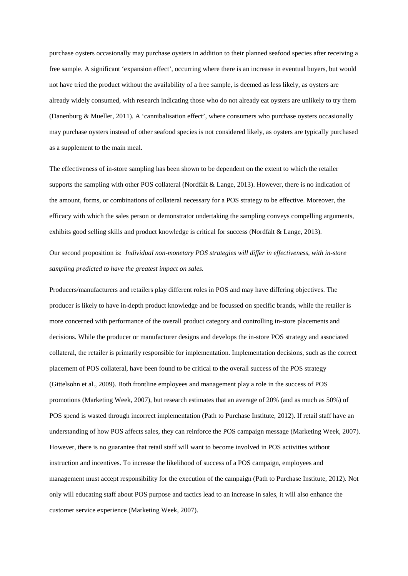purchase oysters occasionally may purchase oysters in addition to their planned seafood species after receiving a free sample. A significant 'expansion effect'*,* occurring where there is an increase in eventual buyers, but would not have tried the product without the availability of a free sample, is deemed as less likely, as oysters are already widely consumed, with research indicating those who do not already eat oysters are unlikely to try them (Danenburg & Mueller, 2011). A 'cannibalisation effect', where consumers who purchase oysters occasionally may purchase oysters instead of other seafood species is not considered likely, as oysters are typically purchased as a supplement to the main meal.

The effectiveness of in-store sampling has been shown to be dependent on the extent to which the retailer supports the sampling with other POS collateral (Nordfält & Lange, 2013). However, there is no indication of the amount, forms, or combinations of collateral necessary for a POS strategy to be effective. Moreover, the efficacy with which the sales person or demonstrator undertaking the sampling conveys compelling arguments, exhibits good selling skills and product knowledge is critical for success (Nordfält & Lange, 2013).

Our second proposition is: *Individual non-monetary POS strategies will differ in effectiveness, with in-store sampling predicted to have the greatest impact on sales.*

Producers/manufacturers and retailers play different roles in POS and may have differing objectives. The producer is likely to have in-depth product knowledge and be focussed on specific brands, while the retailer is more concerned with performance of the overall product category and controlling in-store placements and decisions. While the producer or manufacturer designs and develops the in-store POS strategy and associated collateral, the retailer is primarily responsible for implementation. Implementation decisions, such as the correct placement of POS collateral, have been found to be critical to the overall success of the POS strategy (Gittelsohn et al., 2009). Both frontline employees and management play a role in the success of POS promotions (Marketing Week, 2007), but research estimates that an average of 20% (and as much as 50%) of POS spend is wasted through incorrect implementation (Path to Purchase Institute, 2012). If retail staff have an understanding of how POS affects sales, they can reinforce the POS campaign message (Marketing Week, 2007). However, there is no guarantee that retail staff will want to become involved in POS activities without instruction and incentives. To increase the likelihood of success of a POS campaign, employees and management must accept responsibility for the execution of the campaign (Path to Purchase Institute, 2012). Not only will educating staff about POS purpose and tactics lead to an increase in sales, it will also enhance the customer service experience (Marketing Week, 2007).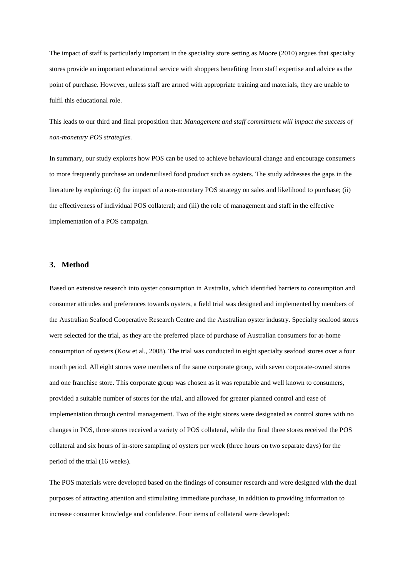The impact of staff is particularly important in the speciality store setting as Moore (2010) argues that specialty stores provide an important educational service with shoppers benefiting from staff expertise and advice as the point of purchase. However, unless staff are armed with appropriate training and materials, they are unable to fulfil this educational role.

This leads to our third and final proposition that: *Management and staff commitment will impact the success of non-monetary POS strategies.*

In summary, our study explores how POS can be used to achieve behavioural change and encourage consumers to more frequently purchase an underutilised food product such as oysters. The study addresses the gaps in the literature by exploring: (i) the impact of a non-monetary POS strategy on sales and likelihood to purchase; (ii) the effectiveness of individual POS collateral; and (iii) the role of management and staff in the effective implementation of a POS campaign.

### **3. Method**

Based on extensive research into oyster consumption in Australia, which identified barriers to consumption and consumer attitudes and preferences towards oysters, a field trial was designed and implemented by members of the Australian Seafood Cooperative Research Centre and the Australian oyster industry. Specialty seafood stores were selected for the trial, as they are the preferred place of purchase of Australian consumers for at-home consumption of oysters (Kow et al., 2008). The trial was conducted in eight specialty seafood stores over a four month period. All eight stores were members of the same corporate group, with seven corporate-owned stores and one franchise store. This corporate group was chosen as it was reputable and well known to consumers, provided a suitable number of stores for the trial, and allowed for greater planned control and ease of implementation through central management. Two of the eight stores were designated as control stores with no changes in POS, three stores received a variety of POS collateral, while the final three stores received the POS collateral and six hours of in-store sampling of oysters per week (three hours on two separate days) for the period of the trial (16 weeks).

The POS materials were developed based on the findings of consumer research and were designed with the dual purposes of attracting attention and stimulating immediate purchase, in addition to providing information to increase consumer knowledge and confidence. Four items of collateral were developed: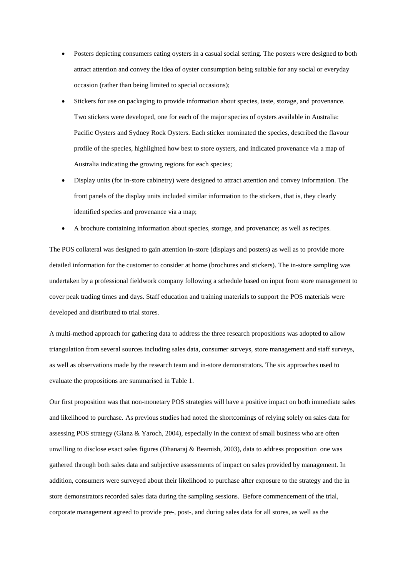- Posters depicting consumers eating oysters in a casual social setting. The posters were designed to both attract attention and convey the idea of oyster consumption being suitable for any social or everyday occasion (rather than being limited to special occasions);
- Stickers for use on packaging to provide information about species, taste, storage, and provenance. Two stickers were developed, one for each of the major species of oysters available in Australia: Pacific Oysters and Sydney Rock Oysters. Each sticker nominated the species, described the flavour profile of the species, highlighted how best to store oysters, and indicated provenance via a map of Australia indicating the growing regions for each species;
- Display units (for in-store cabinetry) were designed to attract attention and convey information. The front panels of the display units included similar information to the stickers, that is, they clearly identified species and provenance via a map;
- A brochure containing information about species, storage, and provenance; as well as recipes.

The POS collateral was designed to gain attention in-store (displays and posters) as well as to provide more detailed information for the customer to consider at home (brochures and stickers). The in-store sampling was undertaken by a professional fieldwork company following a schedule based on input from store management to cover peak trading times and days. Staff education and training materials to support the POS materials were developed and distributed to trial stores.

A multi-method approach for gathering data to address the three research propositions was adopted to allow triangulation from several sources including sales data, consumer surveys, store management and staff surveys, as well as observations made by the research team and in-store demonstrators. The six approaches used to evaluate the propositions are summarised in Table 1.

Our first proposition was that non-monetary POS strategies will have a positive impact on both immediate sales and likelihood to purchase. As previous studies had noted the shortcomings of relying solely on sales data for assessing POS strategy (Glanz & Yaroch, 2004), especially in the context of small business who are often unwilling to disclose exact sales figures (Dhanaraj & Beamish, 2003), data to address proposition one was gathered through both sales data and subjective assessments of impact on sales provided by management. In addition, consumers were surveyed about their likelihood to purchase after exposure to the strategy and the in store demonstrators recorded sales data during the sampling sessions. Before commencement of the trial, corporate management agreed to provide pre-, post-, and during sales data for all stores, as well as the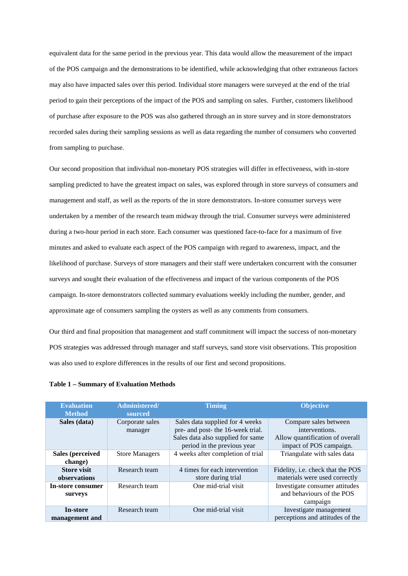equivalent data for the same period in the previous year. This data would allow the measurement of the impact of the POS campaign and the demonstrations to be identified, while acknowledging that other extraneous factors may also have impacted sales over this period. Individual store managers were surveyed at the end of the trial period to gain their perceptions of the impact of the POS and sampling on sales. Further, customers likelihood of purchase after exposure to the POS was also gathered through an in store survey and in store demonstrators recorded sales during their sampling sessions as well as data regarding the number of consumers who converted from sampling to purchase.

Our second proposition that individual non-monetary POS strategies will differ in effectiveness, with in-store sampling predicted to have the greatest impact on sales, was explored through in store surveys of consumers and management and staff, as well as the reports of the in store demonstrators. In-store consumer surveys were undertaken by a member of the research team midway through the trial. Consumer surveys were administered during a two-hour period in each store. Each consumer was questioned face-to-face for a maximum of five minutes and asked to evaluate each aspect of the POS campaign with regard to awareness, impact, and the likelihood of purchase. Surveys of store managers and their staff were undertaken concurrent with the consumer surveys and sought their evaluation of the effectiveness and impact of the various components of the POS campaign. In-store demonstrators collected summary evaluations weekly including the number, gender, and approximate age of consumers sampling the oysters as well as any comments from consumers.

Our third and final proposition that management and staff commitment will impact the success of non-monetary POS strategies was addressed through manager and staff surveys, sand store visit observations. This proposition was also used to explore differences in the results of our first and second propositions.

### **Table 1 – Summary of Evaluation Methods**

| <b>Evaluation</b><br><b>Method</b> | Administered/<br>sourced   | <b>Timing</b>                                                                                                                            | <b>Objective</b>                                                                                      |
|------------------------------------|----------------------------|------------------------------------------------------------------------------------------------------------------------------------------|-------------------------------------------------------------------------------------------------------|
| Sales (data)                       | Corporate sales<br>manager | Sales data supplied for 4 weeks<br>pre- and post- the 16-week trial.<br>Sales data also supplied for same<br>period in the previous year | Compare sales between<br>interventions.<br>Allow quantification of overall<br>impact of POS campaign. |
| Sales (perceived<br>change)        | <b>Store Managers</b>      | 4 weeks after completion of trial                                                                                                        | Triangulate with sales data                                                                           |
| <b>Store visit</b><br>observations | Research team              | 4 times for each intervention<br>store during trial                                                                                      | Fidelity, <i>i.e.</i> check that the POS<br>materials were used correctly                             |
| In-store consumer<br>surveys       | Research team              | One mid-trial visit                                                                                                                      | Investigate consumer attitudes<br>and behaviours of the POS<br>campaign                               |
| In-store<br>management and         | Research team              | One mid-trial visit                                                                                                                      | Investigate management<br>perceptions and attitudes of the                                            |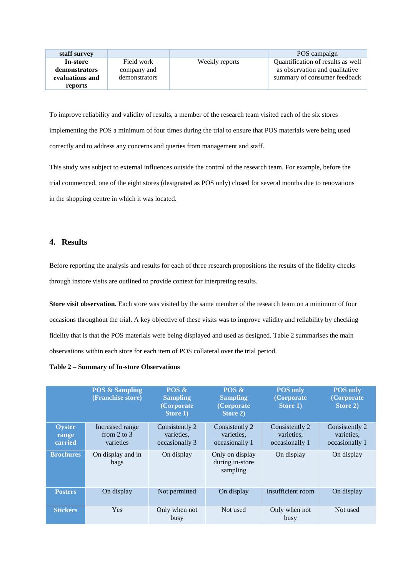| staff survey    |               |                | POS campaign                      |
|-----------------|---------------|----------------|-----------------------------------|
| In-store        | Field work    | Weekly reports | Quantification of results as well |
| demonstrators   | company and   |                | as observation and qualitative    |
| evaluations and | demonstrators |                | summary of consumer feedback      |
| reports         |               |                |                                   |

To improve reliability and validity of results, a member of the research team visited each of the six stores implementing the POS a minimum of four times during the trial to ensure that POS materials were being used correctly and to address any concerns and queries from management and staff.

This study was subject to external influences outside the control of the research team. For example, before the trial commenced, one of the eight stores (designated as POS only) closed for several months due to renovations in the shopping centre in which it was located.

# **4. Results**

Before reporting the analysis and results for each of three research propositions the results of the fidelity checks through instore visits are outlined to provide context for interpreting results.

**Store visit observation.** Each store was visited by the same member of the research team on a minimum of four occasions throughout the trial. A key objective of these visits was to improve validity and reliability by checking fidelity that is that the POS materials were being displayed and used as designed. Table 2 summarises the main observations within each store for each item of POS collateral over the trial period.

#### **Table 2 – Summary of In-store Observations**

|                                   | <b>POS &amp; Sampling</b><br>(Franchise store) | POS $\&$<br><b>Sampling</b><br>(Corporate<br>Store 1) | POS $\&$<br><b>Sampling</b><br>(Corporate<br>Store 2) | <b>POS only</b><br>(Corporate<br>Store 1)      | <b>POS only</b><br>(Corporate<br>Store 2)      |
|-----------------------------------|------------------------------------------------|-------------------------------------------------------|-------------------------------------------------------|------------------------------------------------|------------------------------------------------|
| <b>Oyster</b><br>range<br>carried | Increased range<br>from 2 to $3$<br>varieties  | Consistently 2<br>varieties.<br>occasionally 3        | Consistently 2<br>varieties.<br>occasionally 1        | Consistently 2<br>varieties.<br>occasionally 1 | Consistently 2<br>varieties.<br>occasionally 1 |
| <b>Brochures</b>                  | On display and in<br>bags                      | On display                                            | Only on display<br>during in-store<br>sampling        | On display                                     | On display                                     |
| <b>Posters</b>                    | On display                                     | Not permitted                                         | On display                                            | Insufficient room                              | On display                                     |
| <b>Stickers</b>                   | <b>Yes</b>                                     | Only when not<br>busy                                 | Not used                                              | Only when not<br>busy                          | Not used                                       |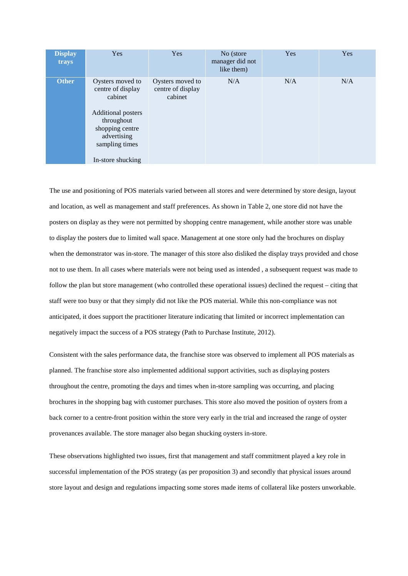| <b>Display</b><br>trays | Yes                                                                                                                                                           | Yes                                              | No (store<br>manager did not<br>like them) | Yes | Yes |
|-------------------------|---------------------------------------------------------------------------------------------------------------------------------------------------------------|--------------------------------------------------|--------------------------------------------|-----|-----|
| <b>Other</b>            | Oysters moved to<br>centre of display<br>cabinet<br>Additional posters<br>throughout<br>shopping centre<br>advertising<br>sampling times<br>In-store shucking | Oysters moved to<br>centre of display<br>cabinet | N/A                                        | N/A | N/A |

The use and positioning of POS materials varied between all stores and were determined by store design, layout and location, as well as management and staff preferences. As shown in Table 2, one store did not have the posters on display as they were not permitted by shopping centre management, while another store was unable to display the posters due to limited wall space. Management at one store only had the brochures on display when the demonstrator was in-store. The manager of this store also disliked the display trays provided and chose not to use them. In all cases where materials were not being used as intended , a subsequent request was made to follow the plan but store management (who controlled these operational issues) declined the request – citing that staff were too busy or that they simply did not like the POS material. While this non-compliance was not anticipated, it does support the practitioner literature indicating that limited or incorrect implementation can negatively impact the success of a POS strategy (Path to Purchase Institute, 2012).

Consistent with the sales performance data, the franchise store was observed to implement all POS materials as planned. The franchise store also implemented additional support activities, such as displaying posters throughout the centre, promoting the days and times when in-store sampling was occurring, and placing brochures in the shopping bag with customer purchases. This store also moved the position of oysters from a back corner to a centre-front position within the store very early in the trial and increased the range of oyster provenances available. The store manager also began shucking oysters in-store.

These observations highlighted two issues, first that management and staff commitment played a key role in successful implementation of the POS strategy (as per proposition 3) and secondly that physical issues around store layout and design and regulations impacting some stores made items of collateral like posters unworkable.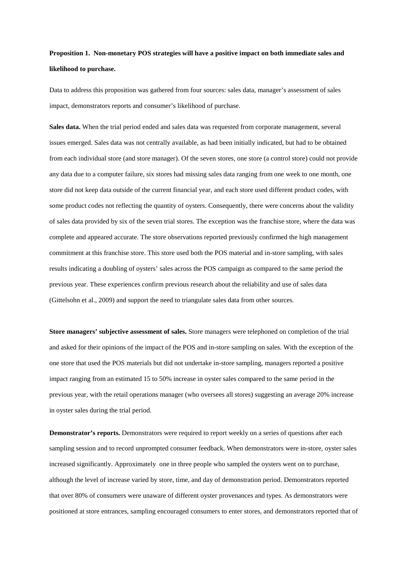# **Proposition 1. Non-monetary POS strategies will have a positive impact on both immediate sales and likelihood to purchase.**

Data to address this proposition was gathered from four sources: sales data, manager's assessment of sales impact, demonstrators reports and consumer's likelihood of purchase.

**Sales data.** When the trial period ended and sales data was requested from corporate management, several issues emerged. Sales data was not centrally available, as had been initially indicated, but had to be obtained from each individual store (and store manager). Of the seven stores, one store (a control store) could not provide any data due to a computer failure, six stores had missing sales data ranging from one week to one month, one store did not keep data outside of the current financial year, and each store used different product codes, with some product codes not reflecting the quantity of oysters. Consequently, there were concerns about the validity of sales data provided by six of the seven trial stores. The exception was the franchise store, where the data was complete and appeared accurate. The store observations reported previously confirmed the high management commitment at this franchise store. This store used both the POS material and in-store sampling, with sales results indicating a doubling of oysters' sales across the POS campaign as compared to the same period the previous year. These experiences confirm previous research about the reliability and use of sales data (Gittelsohn et al., 2009) and support the need to triangulate sales data from other sources.

**Store managers' subjective assessment of sales.** Store managers were telephoned on completion of the trial and asked for their opinions of the impact of the POS and in-store sampling on sales. With the exception of the one store that used the POS materials but did not undertake in-store sampling, managers reported a positive impact ranging from an estimated 15 to 50% increase in oyster sales compared to the same period in the previous year, with the retail operations manager (who oversees all stores) suggesting an average 20% increase in oyster sales during the trial period.

**Demonstrator's reports.** Demonstrators were required to report weekly on a series of questions after each sampling session and to record unprompted consumer feedback. When demonstrators were in-store, oyster sales increased significantly. Approximately one in three people who sampled the oysters went on to purchase, although the level of increase varied by store, time, and day of demonstration period. Demonstrators reported that over 80% of consumers were unaware of different oyster provenances and types. As demonstrators were positioned at store entrances, sampling encouraged consumers to enter stores, and demonstrators reported that of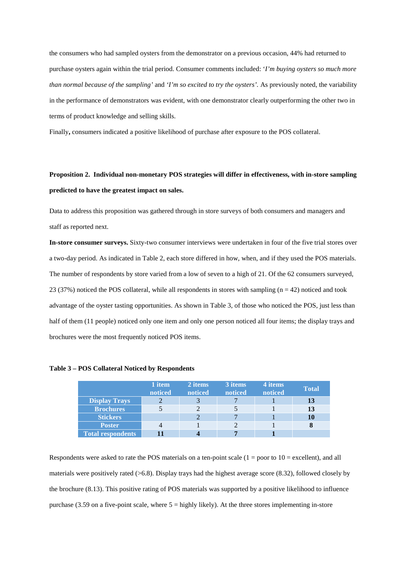the consumers who had sampled oysters from the demonstrator on a previous occasion, 44% had returned to purchase oysters again within the trial period. Consumer comments included: '*I'm buying oysters so much more than normal because of the sampling'* and *'I'm so excited to try the oysters'.* As previously noted, the variability in the performance of demonstrators was evident, with one demonstrator clearly outperforming the other two in terms of product knowledge and selling skills.

Finally**,** consumers indicated a positive likelihood of purchase after exposure to the POS collateral.

# **Proposition 2. Individual non-monetary POS strategies will differ in effectiveness, with in-store sampling predicted to have the greatest impact on sales.**

Data to address this proposition was gathered through in store surveys of both consumers and managers and staff as reported next.

**In-store consumer surveys.** Sixty-two consumer interviews were undertaken in four of the five trial stores over a two-day period. As indicated in Table 2, each store differed in how, when, and if they used the POS materials. The number of respondents by store varied from a low of seven to a high of 21. Of the 62 consumers surveyed, 23 (37%) noticed the POS collateral, while all respondents in stores with sampling  $(n = 42)$  noticed and took advantage of the oyster tasting opportunities. As shown in Table 3, of those who noticed the POS, just less than half of them (11 people) noticed only one item and only one person noticed all four items; the display trays and brochures were the most frequently noticed POS items.

|                      | 1 item<br>noticed | 2 items<br>noticed | 3 items<br>noticed | 4 items<br>noticed | <b>Total</b> |
|----------------------|-------------------|--------------------|--------------------|--------------------|--------------|
| <b>Display Trays</b> |                   |                    |                    |                    |              |
| <b>Brochures</b>     |                   |                    |                    |                    | 13           |
| <b>Stickers</b>      |                   |                    |                    |                    | 10           |
| <b>Poster</b>        |                   |                    |                    |                    |              |
| Total respondents    |                   |                    |                    |                    |              |

| Table 3 – POS Collateral Noticed by Respondents |
|-------------------------------------------------|
|-------------------------------------------------|

Respondents were asked to rate the POS materials on a ten-point scale  $(1 = poor to 10 = excellent)$ , and all materials were positively rated (>6.8). Display trays had the highest average score (8.32), followed closely by the brochure (8.13). This positive rating of POS materials was supported by a positive likelihood to influence purchase (3.59 on a five-point scale, where  $5 =$  highly likely). At the three stores implementing in-store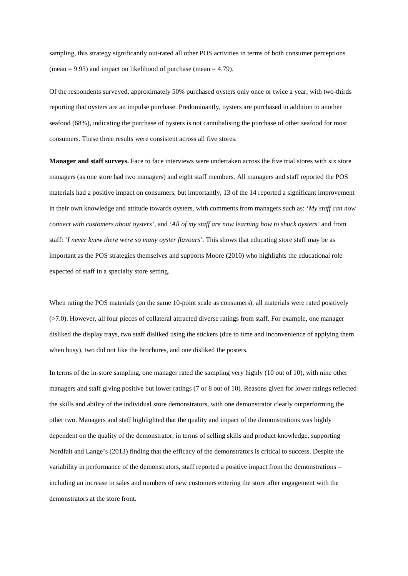sampling, this strategy significantly out-rated all other POS activities in terms of both consumer perceptions (mean  $= 9.93$ ) and impact on likelihood of purchase (mean  $= 4.79$ ).

Of the respondents surveyed, approximately 50% purchased oysters only once or twice a year, with two-thirds reporting that oysters are an impulse purchase. Predominantly, oysters are purchased in addition to another seafood (68%), indicating the purchase of oysters is not cannibalising the purchase of other seafood for most consumers. These three results were consistent across all five stores.

**Manager and staff surveys.** Face to face interviews were undertaken across the five trial stores with six store managers (as one store had two managers) and eight staff members. All managers and staff reported the POS materials had a positive impact on consumers, but importantly, 13 of the 14 reported a significant improvement in their own knowledge and attitude towards oysters, with comments from managers such as: '*My staff can now connect with customers about oysters'*, and '*All of my staff are now learning how to shuck oysters'* and from staff: '*I never knew there were so many oyster flavours*'. This shows that educating store staff may be as important as the POS strategies themselves and supports Moore (2010) who highlights the educational role expected of staff in a specialty store setting.

When rating the POS materials (on the same 10-point scale as consumers), all materials were rated positively (>7.0). However, all four pieces of collateral attracted diverse ratings from staff. For example, one manager disliked the display trays, two staff disliked using the stickers (due to time and inconvenience of applying them when busy), two did not like the brochures, and one disliked the posters.

In terms of the in-store sampling, one manager rated the sampling very highly (10 out of 10), with nine other managers and staff giving positive but lower ratings (7 or 8 out of 10). Reasons given for lower ratings reflected the skills and ability of the individual store demonstrators, with one demonstrator clearly outperforming the other two. Managers and staff highlighted that the quality and impact of the demonstrations was highly dependent on the quality of the demonstrator, in terms of selling skills and product knowledge, supporting Nordfalt and Lange's (2013) finding that the efficacy of the demonstrators is critical to success. Despite the variability in performance of the demonstrators, staff reported a positive impact from the demonstrations – including an increase in sales and numbers of new customers entering the store after engagement with the demonstrators at the store front.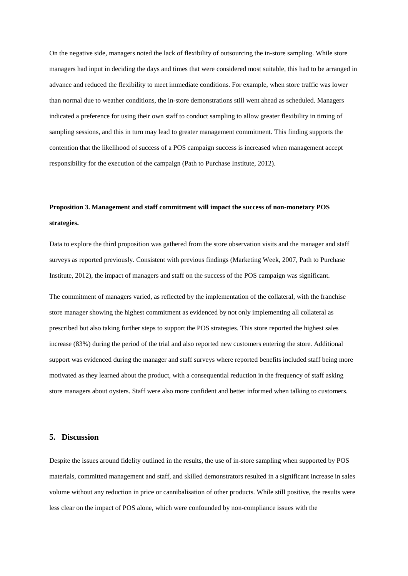On the negative side, managers noted the lack of flexibility of outsourcing the in-store sampling. While store managers had input in deciding the days and times that were considered most suitable, this had to be arranged in advance and reduced the flexibility to meet immediate conditions. For example, when store traffic was lower than normal due to weather conditions, the in-store demonstrations still went ahead as scheduled. Managers indicated a preference for using their own staff to conduct sampling to allow greater flexibility in timing of sampling sessions, and this in turn may lead to greater management commitment. This finding supports the contention that the likelihood of success of a POS campaign success is increased when management accept responsibility for the execution of the campaign (Path to Purchase Institute, 2012).

# **Proposition 3. Management and staff commitment will impact the success of non-monetary POS strategies.**

Data to explore the third proposition was gathered from the store observation visits and the manager and staff surveys as reported previously. Consistent with previous findings (Marketing Week, 2007, Path to Purchase Institute, 2012), the impact of managers and staff on the success of the POS campaign was significant.

The commitment of managers varied, as reflected by the implementation of the collateral, with the franchise store manager showing the highest commitment as evidenced by not only implementing all collateral as prescribed but also taking further steps to support the POS strategies. This store reported the highest sales increase (83%) during the period of the trial and also reported new customers entering the store. Additional support was evidenced during the manager and staff surveys where reported benefits included staff being more motivated as they learned about the product, with a consequential reduction in the frequency of staff asking store managers about oysters. Staff were also more confident and better informed when talking to customers.

## **5. Discussion**

Despite the issues around fidelity outlined in the results, the use of in-store sampling when supported by POS materials, committed management and staff, and skilled demonstrators resulted in a significant increase in sales volume without any reduction in price or cannibalisation of other products. While still positive, the results were less clear on the impact of POS alone, which were confounded by non-compliance issues with the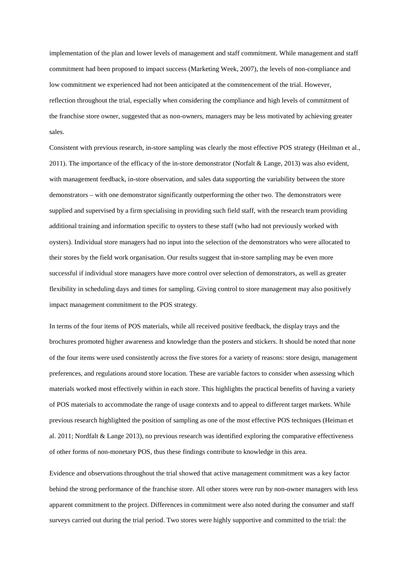implementation of the plan and lower levels of management and staff commitment. While management and staff commitment had been proposed to impact success (Marketing Week, 2007), the levels of non-compliance and low commitment we experienced had not been anticipated at the commencement of the trial. However, reflection throughout the trial, especially when considering the compliance and high levels of commitment of the franchise store owner, suggested that as non-owners, managers may be less motivated by achieving greater sales.

Consistent with previous research, in-store sampling was clearly the most effective POS strategy (Heilman et al., 2011). The importance of the efficacy of the in-store demonstrator (Norfalt & Lange, 2013) was also evident, with management feedback, in-store observation, and sales data supporting the variability between the store demonstrators – with one demonstrator significantly outperforming the other two. The demonstrators were supplied and supervised by a firm specialising in providing such field staff, with the research team providing additional training and information specific to oysters to these staff (who had not previously worked with oysters). Individual store managers had no input into the selection of the demonstrators who were allocated to their stores by the field work organisation. Our results suggest that in-store sampling may be even more successful if individual store managers have more control over selection of demonstrators, as well as greater flexibility in scheduling days and times for sampling. Giving control to store management may also positively impact management commitment to the POS strategy.

In terms of the four items of POS materials, while all received positive feedback, the display trays and the brochures promoted higher awareness and knowledge than the posters and stickers. It should be noted that none of the four items were used consistently across the five stores for a variety of reasons: store design, management preferences, and regulations around store location. These are variable factors to consider when assessing which materials worked most effectively within in each store. This highlights the practical benefits of having a variety of POS materials to accommodate the range of usage contexts and to appeal to different target markets. While previous research highlighted the position of sampling as one of the most effective POS techniques (Heiman et al. 2011; Nordfalt & Lange 2013), no previous research was identified exploring the comparative effectiveness of other forms of non-monetary POS, thus these findings contribute to knowledge in this area.

Evidence and observations throughout the trial showed that active management commitment was a key factor behind the strong performance of the franchise store. All other stores were run by non-owner managers with less apparent commitment to the project. Differences in commitment were also noted during the consumer and staff surveys carried out during the trial period. Two stores were highly supportive and committed to the trial: the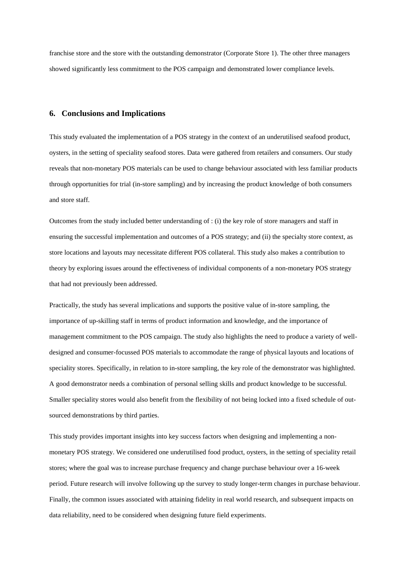franchise store and the store with the outstanding demonstrator (Corporate Store 1). The other three managers showed significantly less commitment to the POS campaign and demonstrated lower compliance levels.

### **6. Conclusions and Implications**

This study evaluated the implementation of a POS strategy in the context of an underutilised seafood product, oysters, in the setting of speciality seafood stores. Data were gathered from retailers and consumers. Our study reveals that non-monetary POS materials can be used to change behaviour associated with less familiar products through opportunities for trial (in-store sampling) and by increasing the product knowledge of both consumers and store staff.

Outcomes from the study included better understanding of : (i) the key role of store managers and staff in ensuring the successful implementation and outcomes of a POS strategy; and (ii) the specialty store context, as store locations and layouts may necessitate different POS collateral. This study also makes a contribution to theory by exploring issues around the effectiveness of individual components of a non-monetary POS strategy that had not previously been addressed.

Practically, the study has several implications and supports the positive value of in-store sampling, the importance of up-skilling staff in terms of product information and knowledge, and the importance of management commitment to the POS campaign. The study also highlights the need to produce a variety of welldesigned and consumer-focussed POS materials to accommodate the range of physical layouts and locations of speciality stores. Specifically, in relation to in-store sampling, the key role of the demonstrator was highlighted. A good demonstrator needs a combination of personal selling skills and product knowledge to be successful. Smaller speciality stores would also benefit from the flexibility of not being locked into a fixed schedule of outsourced demonstrations by third parties.

This study provides important insights into key success factors when designing and implementing a nonmonetary POS strategy. We considered one underutilised food product, oysters, in the setting of speciality retail stores; where the goal was to increase purchase frequency and change purchase behaviour over a 16-week period. Future research will involve following up the survey to study longer-term changes in purchase behaviour. Finally, the common issues associated with attaining fidelity in real world research, and subsequent impacts on data reliability, need to be considered when designing future field experiments.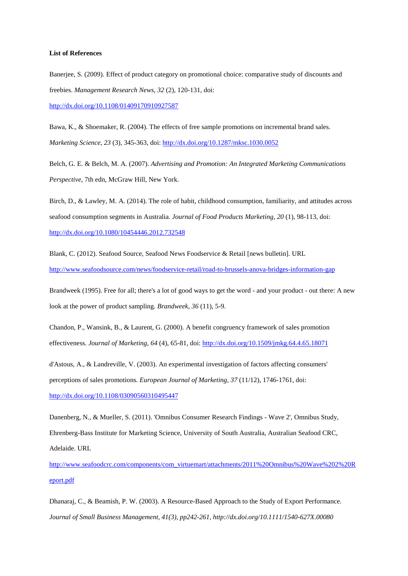#### **List of References**

Banerjee, S. (2009). Effect of product category on promotional choice: comparative study of discounts and freebies. *Management Research News*, *32* (2), 120-131, doi:

<http://dx.doi.org/10.1108/01409170910927587>

Bawa, K., & Shoemaker, R. (2004). The effects of free sample promotions on incremental brand sales. *Marketing Science*, *23* (3), 345-363, doi:<http://dx.doi.org/10.1287/mksc.1030.0052>

Belch, G. E. & Belch, M. A. (2007). *Advertising and Promotion: An Integrated Marketing Communications Perspective*, 7th edn, McGraw Hill, New York.

Birch, D., & Lawley, M. A. (2014). The role of habit, childhood consumption, familiarity, and attitudes across seafood consumption segments in Australia. *Journal of Food Products Marketing*, *20* (1), 98-113, doi: http://dx.doi.org/10.1080/10454446.2012.732548

Blank, C. (2012). Seafood Source, Seafood News Foodservice & Retail [news bulletin]. URL <http://www.seafoodsource.com/news/foodservice-retail/road-to-brussels-anova-bridges-information-gap>

Brandweek (1995). Free for all; there's a lot of good ways to get the word - and your product - out there: A new look at the power of product sampling. *Brandweek*, *36* (11), 5-9.

Chandon, P., Wansink, B., & Laurent, G. (2000). A benefit congruency framework of sales promotion effectiveness. *Journal of Marketing*, *64* (4), 65-81, doi:<http://dx.doi.org/10.1509/jmkg.64.4.65.18071>

d'Astous, A., & Landreville, V. (2003). An experimental investigation of factors affecting consumers' perceptions of sales promotions. *European Journal of Marketing*, *37* (11/12), 1746-1761, doi: <http://dx.doi.org/10.1108/03090560310495447>

Danenberg, N., & Mueller, S. (2011). 'Omnibus Consumer Research Findings - Wave 2', Omnibus Study, Ehrenberg-Bass Institute for Marketing Science, University of South Australia, Australian Seafood CRC, Adelaide. URL

[http://www.seafoodcrc.com/components/com\\_virtuemart/attachments/2011%20Omnibus%20Wave%202%20R](http://www.seafoodcrc.com/components/com_virtuemart/attachments/2011%20Omnibus%20Wave%202%20Report.pdf) [eport.pdf](http://www.seafoodcrc.com/components/com_virtuemart/attachments/2011%20Omnibus%20Wave%202%20Report.pdf)

Dhanaraj, C., & Beamish, P. W. (2003). A Resource-Based Approach to the Study of Export Performance. *Journal of Small Business Management*, *41(3), pp242-261, http://dx.doi.org/10.1111/1540-627X.00080*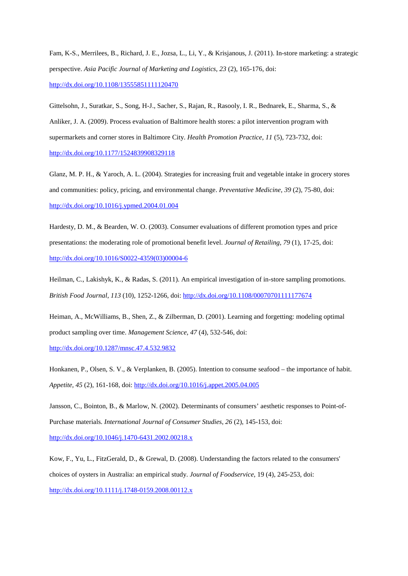Fam, K-S., Merrilees, B., Richard, J. E., Jozsa, L., Li, Y., & Krisjanous, J. (2011). In-store marketing: a strategic perspective. *Asia Pacific Journal of Marketing and Logistics*, *23* (2), 165-176, doi: <http://dx.doi.org/10.1108/13555851111120470>

Gittelsohn, J., Suratkar, S., Song, H-J., Sacher, S., Rajan, R., Rasooly, I. R., Bednarek, E., Sharma, S., & Anliker, J. A. (2009). Process evaluation of Baltimore health stores: a pilot intervention program with supermarkets and corner stores in Baltimore City. *Health Promotion Practice*, *11* (5), 723-732, doi: <http://dx.doi.org/10.1177/1524839908329118>

Glanz, M. P. H., & Yaroch, A. L. (2004). Strategies for increasing fruit and vegetable intake in grocery stores and communities: policy, pricing, and environmental change. *Preventative Medicine*, *39* (2), 75-80, doi: <http://dx.doi.org/10.1016/j.ypmed.2004.01.004>

Hardesty, D. M., & Bearden, W. O. (2003). Consumer evaluations of different promotion types and price presentations: the moderating role of promotional benefit level. *Journal of Retailing*, *79* (1), 17-25, doi: [http://dx.doi.org/10.1016/S0022-4359\(03\)00004-6](http://dx.doi.org/10.1016/S0022-4359(03)00004-6)

Heilman, C., Lakishyk, K., & Radas, S. (2011). An empirical investigation of in-store sampling promotions. *British Food Journal*, *113* (10), 1252-1266, doi:<http://dx.doi.org/10.1108/00070701111177674>

Heiman, A., McWilliams, B., Shen, Z., & Zilberman, D. (2001). Learning and forgetting: modeling optimal product sampling over time. *Management Science*, *47* (4), 532-546, doi:

<http://dx.doi.org/10.1287/mnsc.47.4.532.9832>

Honkanen, P., Olsen, S. V., & Verplanken, B. (2005). Intention to consume seafood – the importance of habit. *Appetite, 45* (2), 161-168, doi: http://dx.doi.org/10.1016/j.appet.2005.04.005

Jansson, C., Bointon, B., & Marlow, N. (2002). Determinants of consumers' aesthetic responses to Point-of-Purchase materials. *International Journal of Consumer Studies*, *26* (2), 145-153, doi: <http://dx.doi.org/10.1046/j.1470-6431.2002.00218.x>

Kow, F., Yu, L., FitzGerald, D., & Grewal, D. (2008). Understanding the factors related to the consumers' choices of oysters in Australia: an empirical study. *Journal of Foodservice*, 19 (4), 245-253, doi: <http://dx.doi.org/10.1111/j.1748-0159.2008.00112.x>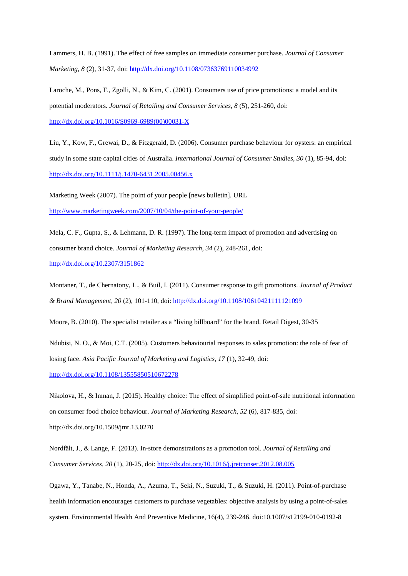Lammers, H. B. (1991). The effect of free samples on immediate consumer purchase. *Journal of Consumer Marketing, 8* (2), 31-37, doi:<http://dx.doi.org/10.1108/07363769110034992>

Laroche, M., Pons, F., Zgolli, N., & Kim, C. (2001). Consumers use of price promotions: a model and its potential moderators. *Journal of Retailing and Consumer Services, 8* (5), 251-260, doi: [http://dx.doi.org/10.1016/S0969-6989\(00\)00031-X](http://dx.doi.org/10.1016/S0969-6989(00)00031-X)

Liu, Y., Kow, F., Grewai, D., & Fitzgerald, D. (2006). Consumer purchase behaviour for oysters: an empirical study in some state capital cities of Australia. *International Journal of Consumer Studies*, *30* (1), 85-94, doi: <http://dx.doi.org/10.1111/j.1470-6431.2005.00456.x>

Marketing Week (2007). The point of your people [news bulletin]. URL <http://www.marketingweek.com/2007/10/04/the-point-of-your-people/>

Mela, C. F., Gupta, S., & Lehmann, D. R. (1997). The long-term impact of promotion and advertising on consumer brand choice. *Journal of Marketing Research*, *34* (2), 248-261, doi:

<http://dx.doi.org/10.2307/3151862>

Montaner, T., de Chernatony, L., & Buil, I. (2011). Consumer response to gift promotions. *Journal of Product & Brand Management*, *20* (2), 101-110, doi[: http://dx.doi.org/10.1108/10610421111121099](http://dx.doi.org/10.1108/10610421111121099)

Moore, B. (2010). The specialist retailer as a "living billboard" for the brand. Retail Digest, 30-35

Ndubisi, N. O., & Moi, C.T. (2005). Customers behaviourial responses to sales promotion: the role of fear of losing face. *Asia Pacific Journal of Marketing and Logistics*, *17* (1), 32-49, doi: <http://dx.doi.org/10.1108/13555850510672278>

Nikolova, H., & Inman, J. (2015). Healthy choice: The effect of simplified point-of-sale nutritional information on consumer food choice behaviour. *Journal of Marketing Research, 52* (6), 817-835, doi: http://dx.doi.org/10.1509/jmr.13.0270

Nordfält, J., & Lange, F. (2013). In-store demonstrations as a promotion tool. *Journal of Retailing and Consumer Services, 20* (1), 20-25, doi[: http://dx.doi.org/10.1016/j.jretconser.2012.08.005](http://dx.doi.org/10.1016/j.jretconser.2012.08.005)

Ogawa, Y., Tanabe, N., Honda, A., Azuma, T., Seki, N., Suzuki, T., & Suzuki, H. (2011). Point-of-purchase health information encourages customers to purchase vegetables: objective analysis by using a point-of-sales system. Environmental Health And Preventive Medicine, 16(4), 239-246. doi:10.1007/s12199-010-0192-8